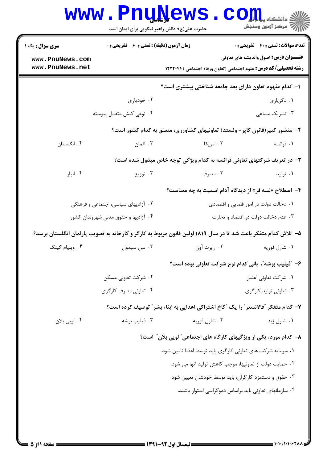| <b>سری سوال :</b> یک ۱               | <b>زمان آزمون (دقیقه) : تستی : 60 ٪ تشریحی : 0</b>     |                                                                                                              | <b>تعداد سوالات : تستی : 40 - تشریحی : 0</b> |
|--------------------------------------|--------------------------------------------------------|--------------------------------------------------------------------------------------------------------------|----------------------------------------------|
| www.PnuNews.com                      |                                                        |                                                                                                              | <b>عنـــوان درس:</b> اصول واندیشه های تعاونی |
| www.PnuNews.net                      |                                                        | <b>رشته تحصیلی/کد درس:</b> علوم اجتماعی (تعاون ورفاه اجتماعی )۱۲۲۲۰۴۴                                        |                                              |
|                                      | ا– کدام مفهوم تعاون دارای بعد جامعه شناختی بیشتری است؟ |                                                                                                              |                                              |
|                                      | ۰۲ خودیاری                                             |                                                                                                              | ۰۱ دگریاری                                   |
|                                      | ۰۴ نوعی کنش متقابل پیوسته                              |                                                                                                              | ۰۳ تشریک مساعی                               |
|                                      |                                                        | ۲- منشور کبیر(قانون کاپر- ولستد) تعاونیهای کشاورزی، متعلق به کدام کشور است؟                                  |                                              |
| ۰۴ انگلستان                          | ۰۳ آلمان                                               | ۰۲ امریکا                                                                                                    | ۱. فرانسه                                    |
|                                      |                                                        | ۳- در تعریف شرکتهای تعاونی فرانسه به کدام ویژگی توجه خاص مبذول شده است؟                                      |                                              |
| ۰۴ انبار                             | ۰۳ توزیع                                               | ۰۲ مصرف                                                                                                      | ۰۱ تولید                                     |
|                                      |                                                        | ۴- اصطلاح «لسه فر» از دیدگاه آدام اسمیت به چه معناست؟                                                        |                                              |
| ۰۲ آزادیهای سیاسی، اجتماعی و فرهنگی  |                                                        |                                                                                                              | ۰۱ دخالت دولت در امور قضایی و اقتصادی        |
| ۰۴ آزادیها و حقوق مدنی شهروندان کشور |                                                        | ۰۳ عدم دخالت دولت در اقتصاد و تجارت                                                                          |                                              |
|                                      |                                                        | ۵– تلاش کدام متفکر باعث شد تا در سال ۱۸۱۹ولین قانون مربوط به کارگر و کارخانه به تصویب پارلمان انگلستان برسد؟ |                                              |
| ۰۴ ویلیام کینگ                       | ۰۳ سن سيمون                                            | ۰۲ رابرت آون                                                                                                 | ٠١ شارل فوريه                                |
|                                      |                                                        | ۶- ″فیلیپ بوشه″، بانی کدام نوع شرکت تعاونی بوده است؟                                                         |                                              |
|                                      | ۰۲ شرکت تعاونی مسکن                                    |                                                                                                              | ۰۱ شرکت تعاونی اعتبار                        |
|                                      | ۰۴ تعاونی مصرف کارگری                                  |                                                                                                              | ۰۳ تعاونی تولید کارگری                       |
|                                      |                                                        | ۷- کدام متفکر ″فالانستر″ را یک ″کاخ اشتراکی اهدایی به ابناء بشر″ توصیف کرده است؟                             |                                              |
| ۰۴ لويي بلان                         | ۰۳ فیلیپ بوشه                                          | ۰۲ شارل فوريه                                                                                                | ۰۱ شارل ژید                                  |
|                                      |                                                        | ۸– کدام مورد، یکی از ویژگیهای کارگاه های اجتماعی ؒ لویی بلان ؒ است؟                                          |                                              |
|                                      |                                                        | ٠١ سرمايه شركت هاي تعاوني كارگري بايد توسط اعضا تامين شود.                                                   |                                              |
|                                      |                                                        | ٠٢ حمايت دولت از تعاونيها، موجب كاهش توليد آنها مى شود.                                                      |                                              |
|                                      |                                                        | ۰۳ حقوق و دستمزد کارگران، باید توسط خودشان تعیین شود.                                                        |                                              |
|                                      |                                                        | ۰۴ سازمانهای تعاونی باید براساس دموکراسی استوار باشند.                                                       |                                              |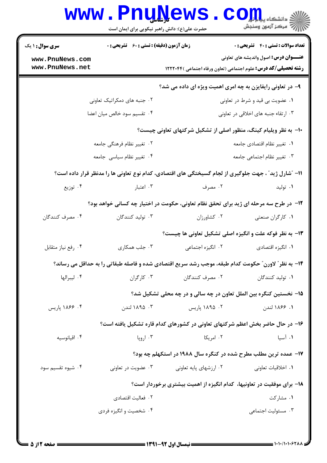|                                                                                       | www.PnuNews<br>حضرت علی(ع): دانش راهبر نیکویی برای ایمان است |                             | $\mathbf{C}$ QIII<br>أأآت مركز آزمون وسنجش                                                                            |
|---------------------------------------------------------------------------------------|--------------------------------------------------------------|-----------------------------|-----------------------------------------------------------------------------------------------------------------------|
| <b>سری سوال : ۱ یک</b>                                                                | <b>زمان آزمون (دقیقه) : تستی : 60 ٪ تشریحی : 0</b>           |                             | <b>تعداد سوالات : تستی : 40 قشریحی : 0</b>                                                                            |
| www.PnuNews.com<br>www.PnuNews.net                                                    |                                                              |                             | <b>عنـــوان درس:</b> اصول واندیشه های تعاونی<br><b>رشته تحصیلی/کد درس:</b> علوم اجتماعی (تعاون ورفاه اجتماعی )۱۲۲۲۰۴۴ |
|                                                                                       |                                                              |                             | ۹- در تعاونی رایفایزن به چه امری اهمیت ویژه ای داده می شد؟                                                            |
|                                                                                       | ۰۲ جنبه های دمکراتیک تعاونی                                  |                             | ۰۱ عضویت بی قید و شرط در تعاونی                                                                                       |
|                                                                                       | ۰۴ تقسیم سود خالص میان اعضا                                  |                             | ۰۳ ارتقاء جنبه های اخلاقی در تعاونی                                                                                   |
|                                                                                       |                                                              |                             | ∙ا− به نظر ویلیام کینگ، منظور اصلی از تشکیل شرکتهای تعاونی چیست؟                                                      |
| ۰۲ تغییر نظام فرهنگی جامعه                                                            |                                                              | ٠١ تغيير نظام اقتصادي جامعه |                                                                                                                       |
| ۰۴ تغییر نظام سیاسی جامعه                                                             |                                                              | ۰۳ تغییر نظام اجتماعی جامعه |                                                                                                                       |
|                                                                                       |                                                              |                             | 11– "شارل ژید" ، جهت جلوگیری از لجام گسیختگی های اقتصادی، کدام نوع تعاونی ها را مدنظر قرار داده است؟                  |
| ۰۴ توزیع                                                                              | ۰۳ اعتبار                                                    | ۰۲ مصرف                     | ۰۱ تولید                                                                                                              |
| ۱۲- در طرح سه مرحله ای ژید برای تحقق نظام تعاونی، حکومت در اختیار چه کسانی خواهد بود؟ |                                                              |                             |                                                                                                                       |
| ۰۴ مصرف کنندگان                                                                       | ۰۳ تولید کنندگان                                             | ٠٢ كشاورزان                 | ۰۱ کارگران صنعتی                                                                                                      |
|                                                                                       |                                                              |                             | ۱۳- به نظر فوکه علت و انگیزه اصلی تشکیل تعاونی ها چیست؟                                                               |
| ۰۴ رفع نياز متقابل                                                                    | ۰۳ جلب همکاری                                                | ٠٢ انگيزه اجتماعي           | ۰۱ انگیزه اقتصادی                                                                                                     |
|                                                                                       |                                                              |                             | ۱۴- به نظر" لاورن" حکومت کدام طبقه، موجب رشد سریع اقتصادی شده و فاصله طبقاتی را به حداقل می رساند؟                    |
| ۰۴ ليبرالها                                                                           | ۰۳ کارگران                                                   | ۰۲ مصرف کنندگان             | ۰۱ تولید کنندگان                                                                                                      |
|                                                                                       |                                                              |                             | ۱۵– نخستین کنگره بین الملل تعاون در چه سالی و در چه محلی تشکیل شد؟                                                    |
| ۰۴ ۱۸۶۶ پاریس                                                                         | ۰۳ ۱۸۹۵ لندن                                                 | ۰۲ ۱۸۹۵ پاریس               | ١. ١٨۶۶ لندن                                                                                                          |
|                                                                                       |                                                              |                             | ۱۶– در حال حاضر بخش اعظم شرکتهای تعاونی در کشورهای کدام قاره تشکیل یافته است؟                                         |
| ۰۴ اقيانوسيه                                                                          | ۰۳ اروپا                                                     | ۰۲ امریکا                   | ۰۱ آسیا                                                                                                               |
|                                                                                       |                                                              |                             | ۱۷- عمده ترین مطلب مطرح شده در کنگره سال ۱۹۸۸ در استکهلم چه بود؟                                                      |
| ۰۴ شیوه تقسیم سود                                                                     | ۰۳ عضویت در تعاونی                                           | ۰۲ ارزشهای پایه تعاونی      | ٠١. اخلاقيات تعاوني                                                                                                   |
|                                                                                       |                                                              |                             | ۱۸– برای موفقیت در تعاونیها، کدام انگیزه از اهمیت بیشتری برخوردار است؟                                                |
|                                                                                       | ٠٢ فعاليت اقتصادي                                            |                             | ۰۱ مشارکت                                                                                                             |
|                                                                                       | ۰۴ شخصیت و انگیزه فردی                                       |                             | ۰۳ مسئوليت اجتماعي                                                                                                    |
|                                                                                       |                                                              |                             |                                                                                                                       |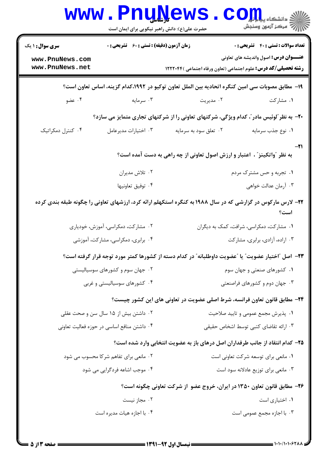| <b>سری سوال : ۱ یک</b>             | <b>زمان آزمون (دقیقه) : تستی : 60 ٪ تشریحی : 0</b> |                                                                                                             | <b>تعداد سوالات : تستی : 40 قشریحی : 0</b>   |
|------------------------------------|----------------------------------------------------|-------------------------------------------------------------------------------------------------------------|----------------------------------------------|
| www.PnuNews.com<br>www.PnuNews.net |                                                    | <b>رشته تحصیلی/کد درس:</b> علوم اجتماعی (تعاون ورفاه اجتماعی )۱۲۲۲۰۴۴                                       | <b>عنـــوان درس:</b> اصول واندیشه های تعاونی |
|                                    |                                                    | ۱۹– مطابق مصوبات سی امین کنگره اتحادیه بین الملل تعاون توکیو در ۱۹۹۲،کدام گزینه، اساس تعاون است؟            |                                              |
| ۰۴ عضو                             | ۰۳ سرمایه                                          | ۰۲ مدیریت                                                                                                   | ۱. مشارکت                                    |
|                                    |                                                    | <b>۲۰</b> - به نظر ٌلوئیس مادر ؓ، کدام ویژگی، شرکتهای تعاونی را از شرکتهای تجاری متمایز می سازد؟            |                                              |
| ۰۴ کنترل دمکراتیک                  | ۰۳ اختیارات مدیرعامل                               | ۰۲ تعلق سود به سرمایه                                                                                       | ٠١ نوع جذب سرمايه                            |
|                                    |                                                    | به نظر "واتکینز" ، اعتبار و ارزش اصول تعاونی از چه راهی به دست آمده است؟                                    | -21                                          |
|                                    | ۰۲ تلاش مديران                                     |                                                                                                             | ۰۱ تجربه و حس مشترک مردم                     |
|                                    | ۰۴ توفيق تعاونيها                                  |                                                                                                             | ۰۳ آرمان عدالت خواهي                         |
|                                    |                                                    | ۲۲– لارس مارکوس در گزارشی که در سال ۱۹۸۸ به کنگره استکهلم ارائه کرد، ارزشهای تعاونی را چگونه طبقه بندی کرده | است؟                                         |
|                                    | ۰۲ مشارکت، دمکراسی، آموزش، خودیاری                 |                                                                                                             | ۰۱ مشارکت، دمکراسی، شرافت، کمک به دیگران     |
|                                    | ۰۴ برابری، دمکراسی، مشارکت، آموزشی                 |                                                                                                             | ۰۳ اراده، آزادی، برابری، مشارکت              |
|                                    |                                                    | ٢٣- اصل "اختيار عضويت" يا "عضويت داوطلبانه" در كدام دسته از كشورها كمتر مورد توجه قرار گرفته است؟           |                                              |
|                                    | ۰۲ جهان سوم و کشورهای سوسیالیستی                   |                                                                                                             | ۰۱ کشورهای صنعتی و جهان سوم                  |
|                                    | ۰۴ کشورهای سوسیالیستی و غربی                       |                                                                                                             | ۰۳ جهان دوم و کشورهای فراصنعتی               |
|                                    |                                                    | ۲۴- مطابق قانون تعاون فرانسه، شرط اصلی عضویت در تعاونی های این کشور چیست؟                                   |                                              |
|                                    | ۰۲ داشتن بیش از ۱۵ سال سن و صحت عقلی               | ۰۱ پذیرش مجمع عمومی و تایید صلاحیت                                                                          |                                              |
|                                    | ۰۴ داشتن منافع اساسی در حوزه فعالیت تعاونی         |                                                                                                             | ۰۳ ارائه تقاضای کتبی توسط اشخاص حقیقی        |
|                                    |                                                    | ۲۵- کدام انتقاد از جانب طرفداران اصل درهای باز به عضویت انتخابی وارد شده است؟                               |                                              |
|                                    | ۰۲ مانعی برای تفاهم شرکا محسوب می شود              |                                                                                                             | ۰۱ مانعی برای توسعه شرکت تعاونی است          |
|                                    | ۰۴ موجب اشاعه فردگرایی می شود                      |                                                                                                             | ۰۳ مانعی برای توزیع عادلانه سود است          |
|                                    |                                                    | ۲۶- مطابق قانون تعاون ۱۳۵۰ در ایران، خروج عضو از شرکت تعاونی چگونه است؟                                     |                                              |
|                                    | ۰۲ مجاز نیست                                       |                                                                                                             | ۰۱ اختیاری است                               |
|                                    | ۰۴ با اجازه هيات مديره است                         |                                                                                                             | ۰۳ با اجازه مجمع عمومی است                   |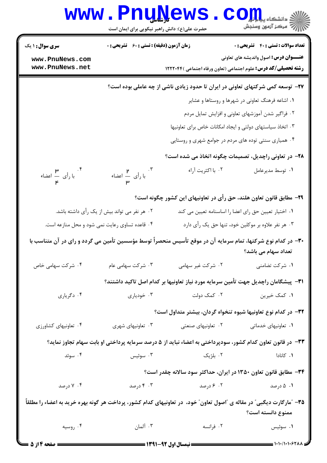| <b>WWW.</b>                                                                                                                         | حضرت علی(ع): دانش راهبر نیکویی برای ایمان است | Pnunews                                                                                                               | الاد دانشکاه پیالولول<br>الا دانشکاه پیالولول        |
|-------------------------------------------------------------------------------------------------------------------------------------|-----------------------------------------------|-----------------------------------------------------------------------------------------------------------------------|------------------------------------------------------|
| <b>سری سوال : ۱ یک</b>                                                                                                              | زمان آزمون (دقیقه) : تستی : ۶۰٪ تشریحی : ۰    |                                                                                                                       | <b>تعداد سوالات : تستی : 40 - تشریحی : 0</b>         |
| www.PnuNews.com<br>www.PnuNews.net                                                                                                  |                                               | <b>رشته تحصیلی/کد درس:</b> علوم اجتماعی (تعاون ورفاه اجتماعی )۱۲۲۲۰۴۴                                                 | <b>عنـــوان درس:</b> اصول واندیشه های تعاونی         |
|                                                                                                                                     |                                               | ۲۷- توسعه کمی شرکتهای تعاونی در ایران تا حدود زیادی ناشی از چه عاملی بوده است؟                                        |                                                      |
|                                                                                                                                     |                                               |                                                                                                                       | ۰۱ اشاعه فرهنگ تعاونی در شهرها و روستاها و عشایر     |
|                                                                                                                                     |                                               |                                                                                                                       | ۰۲ فراگیر شدن آموزشهای تعاونی و افزایش تمایل مردم    |
|                                                                                                                                     |                                               | ۰۳ اتخاذ سیاستهای دولتی و ایجاد امکانات خاص برای تعاونیها                                                             |                                                      |
|                                                                                                                                     |                                               | ۰۴ همیاری سنتی توده های مردم در جوامع شهری و روستایی                                                                  |                                                      |
|                                                                                                                                     |                                               | <b>۲۸-</b> در تعاونی راچدیل، تصمیمات چگونه اتخاذ می شده است؟                                                          |                                                      |
| ۴.<br>با رأى ہے اعضاء<br><b>۴</b>                                                                                                   | .۳<br>با رأی ہے اعضاء<br><b>س</b>             | ۰۲ با اکثریت آراء                                                                                                     | ۰۱ توسط مدیرعامل                                     |
|                                                                                                                                     |                                               | ۲۹– مطابق قانون تعاون هلند، حق رأى در تعاونيهاى اين كشور چگونه است؟                                                   |                                                      |
| ۰۲ هر نفر می تواند بیش از یک رأی داشته باشد.                                                                                        |                                               |                                                                                                                       | ۰۱ اختیار تعیین حق رای اعضا را اساسنامه تعیین می کند |
| ۰۴ قاعده تساوی رعایت نمی شود و محل منازعه است.<br>۰۳ هر نفر علاوه بر موکلین خود، تنها حق یک رأی دارد                                |                                               |                                                                                                                       |                                                      |
| ۳۰– در کدام نوع شرکتها، تمام سرمایه آن در موقع تأسیس منحصراً توسط مؤسسین تأمین می گردد و رای در آن متناسب با<br>تعداد سهام می باشد؟ |                                               |                                                                                                                       |                                                      |
| ۰۴ شرکت سهامی خاص                                                                                                                   | ۰۳ شرکت سهامی عام                             | ۰۲ شرکت غیر سهامی                                                                                                     | ۰۱ شرکت تضامنی                                       |
|                                                                                                                                     |                                               | ۳۱−  پیشگامان راچدیل جهت تأمین سرمایه مورد نیاز تعاونیها بر کدام اصل تاکید داشتند؟                                    |                                                      |
| ۰۴ دگرياري                                                                                                                          | ۰۳ خودياري                                    | ۰۲ کمک دولت                                                                                                           | ۰۱ کمک خیرین                                         |
|                                                                                                                                     |                                               | ۳۲– در کدام نوع تعاونیها شیوه تنخواه گردان، بیشتر متداول است؟                                                         |                                                      |
| ۰۴ تعاونیهای کشاورزی                                                                                                                | ۰۳ تعاونیهای شهری                             | ۰۲ تعاونیهای صنعتی                                                                                                    | ۰۱ تعاونیهای خدماتی                                  |
|                                                                                                                                     |                                               | ۳۳- در قانون تعاون کدام کشور، سودپرداختی به اعضاء نباید از ۵ درصد سرمایه پرداختی او بابت سهام تجاوز نماید؟            |                                                      |
| ۰۴ سوئد                                                                                                                             | ۰۳ سوئيس                                      | ۰۲ بلژیک                                                                                                              | ۰۱ کانادا                                            |
|                                                                                                                                     |                                               | ۳۴- مطابق قانون تعاون ۱۳۵۰ در ایران، حداکثر سود سالانه چقدر است؟                                                      |                                                      |
| ۰۴ درصد                                                                                                                             | ۰۳ درصد                                       | ۰۲ ۶ درصد                                                                                                             | ۰۱ ۵ درصد                                            |
|                                                                                                                                     |                                               | ۳۵– "مارگارت دیگبی" در مقاله ی "اصول تعاون" خود،  در تعاونیهای کدام کشور، پرداخت هر گونه بهره خرید به اعضاء را مطلقاً |                                                      |
|                                                                                                                                     |                                               |                                                                                                                       | ممنوع دانسته است؟                                    |
| ۰۴ روسیه                                                                                                                            | ۰۳ آلمان                                      | ۰۲ فرانسه                                                                                                             | ۰۱ سوئیس                                             |